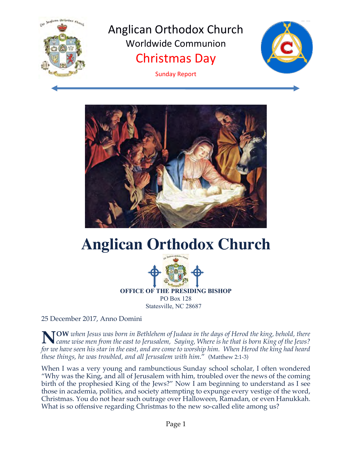

Anglican Orthodox Church Worldwide Communion Christmas Day



Sunday Report



# **Anglican Orthodox Church**



**OFFICE OF THE PRESIDING BISHOP** PO Box 128 Statesville, NC 28687

25 December 2017, Anno Domini

**OW** *when Jesus was born in Bethlehem of Judaea in the days of Herod the king, behold, there came wise men from the east to Jerusalem, Saying, Where is he that is born King of the Jews? for we have seen his star in the east, and are come to worship him. When Herod the king had heard these things, he was troubled, and all Jerusalem with him*." (Matthew 2:1-3) **N**

When I was a very young and rambunctious Sunday school scholar, I often wondered "Why was the King, and all of Jerusalem with him, troubled over the news of the coming birth of the prophesied King of the Jews?" Now I am beginning to understand as I see those in academia, politics, and society attempting to expunge every vestige of the word, Christmas. You do not hear such outrage over Halloween, Ramadan, or even Hanukkah. What is so offensive regarding Christmas to the new so-called elite among us?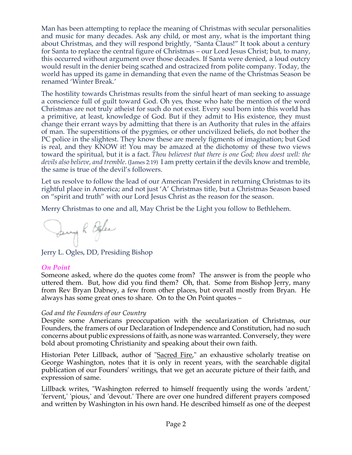Man has been attempting to replace the meaning of Christmas with secular personalities and music for many decades. Ask any child, or most any, what is the important thing about Christmas, and they will respond brightly, "Santa Claus!" It took about a century for Santa to replace the central figure of Christmas – our Lord Jesus Christ; but, to many, this occurred without argument over those decades. If Santa were denied, a loud outcry would result in the denier being scathed and ostracized from polite company. Today, the world has upped its game in demanding that even the name of the Christmas Season be renamed 'Winter Break.'

The hostility towards Christmas results from the sinful heart of man seeking to assuage a conscience full of guilt toward God. Oh yes, those who hate the mention of the word Christmas are not truly atheist for such do not exist. Every soul born into this world has a primitive, at least, knowledge of God. But if they admit to His existence, they must change their errant ways by admitting that there is an Authority that rules in the affairs of man. The superstitions of the pygmies, or other uncivilized beliefs, do not bother the PC police in the slightest. They know these are merely figments of imagination; but God is real, and they KNOW it! You may be amazed at the dichotomy of these two views toward the spiritual, but it is a fact. *Thou believest that there is one God; thou doest well: the devils also believe, and tremble*. (James 2:19) I am pretty certain if the devils know and tremble, the same is true of the devil's followers.

Let us resolve to follow the lead of our American President in returning Christmas to its rightful place in America; and not just 'A' Christmas title, but a Christmas Season based on "spirit and truth" with our Lord Jesus Christ as the reason for the season.

Merry Christmas to one and all, May Christ be the Light you follow to Bethlehem.

Dany R Effer

Jerry L. Ogles, DD, Presiding Bishop

## *On Point*

Someone asked, where do the quotes come from? The answer is from the people who uttered them. But, how did you find them? Oh, that. Some from Bishop Jerry, many from Rev Bryan Dabney, a few from other places, but overall mostly from Bryan. He always has some great ones to share. On to the On Point quotes –

#### *God and the Founders of our Country*

Despite some Americans preoccupation with the secularization of Christmas, our Founders, the framers of our Declaration of Independence and Constitution, had no such concerns about public expressions of faith, as none was warranted. Conversely, they were bold about promoting Christianity and speaking about their own faith.

Historian Peter Lillback, author of "Sacred Fire," an exhaustive scholarly treatise on George Washington, notes that it is only in recent years, with the searchable digital publication of our Founders' writings, that we get an accurate picture of their faith, and expression of same.

Lillback writes, "Washington referred to himself frequently using the words 'ardent,' 'fervent,' 'pious,' and 'devout.' There are over one hundred different prayers composed and written by Washington in his own hand. He described himself as one of the deepest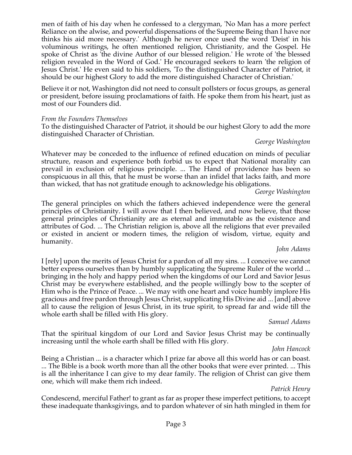men of faith of his day when he confessed to a clergyman, 'No Man has a more perfect Reliance on the alwise, and powerful dispensations of the Supreme Being than I have nor thinks his aid more necessary.' Although he never once used the word 'Deist' in his voluminous writings, he often mentioned religion, Christianity, and the Gospel. He spoke of Christ as 'the divine Author of our blessed religion.' He wrote of 'the blessed religion revealed in the Word of God.' He encouraged seekers to learn 'the religion of Jesus Christ.' He even said to his soldiers, 'To the distinguished Character of Patriot, it should be our highest Glory to add the more distinguished Character of Christian.'

Believe it or not, Washington did not need to consult pollsters or focus groups, as general or president, before issuing proclamations of faith. He spoke them from his heart, just as most of our Founders did.

#### *From the Founders Themselves*

To the distinguished Character of Patriot, it should be our highest Glory to add the more distinguished Character of Christian.

#### *George Washington*

Whatever may be conceded to the influence of refined education on minds of peculiar structure, reason and experience both forbid us to expect that National morality can prevail in exclusion of religious principle. ... The Hand of providence has been so conspicuous in all this, that he must be worse than an infidel that lacks faith, and more than wicked, that has not gratitude enough to acknowledge his obligations.

*George Washington*

The general principles on which the fathers achieved independence were the general principles of Christianity. I will avow that I then believed, and now believe, that those general principles of Christianity are as eternal and immutable as the existence and attributes of God. ... The Christian religion is, above all the religions that ever prevailed or existed in ancient or modern times, the religion of wisdom, virtue, equity and humanity.

#### *John Adams*

I [rely] upon the merits of Jesus Christ for a pardon of all my sins. ... I conceive we cannot better express ourselves than by humbly supplicating the Supreme Ruler of the world ... bringing in the holy and happy period when the kingdoms of our Lord and Savior Jesus Christ may be everywhere established, and the people willingly bow to the scepter of Him who is the Prince of Peace. ... We may with one heart and voice humbly implore His gracious and free pardon through Jesus Christ, supplicating His Divine aid ... [and] above all to cause the religion of Jesus Christ, in its true spirit, to spread far and wide till the whole earth shall be filled with His glory.

*Samuel Adams*

That the spiritual kingdom of our Lord and Savior Jesus Christ may be continually increasing until the whole earth shall be filled with His glory.

## *John Hancock*

Being a Christian ... is a character which I prize far above all this world has or can boast. ... The Bible is a book worth more than all the other books that were ever printed. ... This is all the inheritance I can give to my dear family. The religion of Christ can give them one, which will make them rich indeed.

## *Patrick Henry*

Condescend, merciful Father! to grant as far as proper these imperfect petitions, to accept these inadequate thanksgivings, and to pardon whatever of sin hath mingled in them for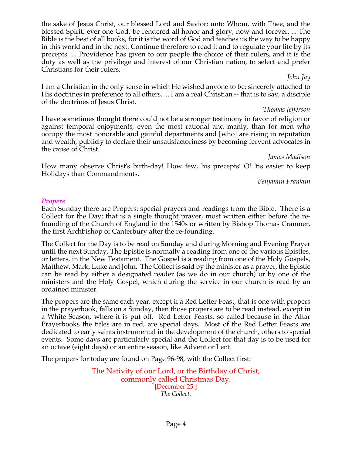the sake of Jesus Christ, our blessed Lord and Savior; unto Whom, with Thee, and the blessed Spirit, ever one God, be rendered all honor and glory, now and forever. ... The Bible is the best of all books, for it is the word of God and teaches us the way to be happy in this world and in the next. Continue therefore to read it and to regulate your life by its precepts. ... Providence has given to our people the choice of their rulers, and it is the duty as well as the privilege and interest of our Christian nation, to select and prefer Christians for their rulers.

#### *John Jay*

I am a Christian in the only sense in which He wished anyone to be: sincerely attached to His doctrines in preference to all others. ... I am a real Christian -- that is to say, a disciple of the doctrines of Jesus Christ.

#### *Thomas Jefferson*

I have sometimes thought there could not be a stronger testimony in favor of religion or against temporal enjoyments, even the most rational and manly, than for men who occupy the most honorable and gainful departments and [who] are rising in reputation and wealth, publicly to declare their unsatisfactoriness by becoming fervent advocates in the cause of Christ.

*James Madison*

How many observe Christ's birth-day! How few, his precepts! O! 'tis easier to keep Holidays than Commandments.

*Benjamin Franklin*

#### *Propers*

Each Sunday there are Propers: special prayers and readings from the Bible. There is a Collect for the Day; that is a single thought prayer, most written either before the refounding of the Church of England in the 1540s or written by Bishop Thomas Cranmer, the first Archbishop of Canterbury after the re-founding.

The Collect for the Day is to be read on Sunday and during Morning and Evening Prayer until the next Sunday. The Epistle is normally a reading from one of the various Epistles, or letters, in the New Testament. The Gospel is a reading from one of the Holy Gospels, Matthew, Mark, Luke and John. The Collect is said by the minister as a prayer, the Epistle can be read by either a designated reader (as we do in our church) or by one of the ministers and the Holy Gospel, which during the service in our church is read by an ordained minister.

The propers are the same each year, except if a Red Letter Feast, that is one with propers in the prayerbook, falls on a Sunday, then those propers are to be read instead, except in a White Season, where it is put off. Red Letter Feasts, so called because in the Altar Prayerbooks the titles are in red, are special days. Most of the Red Letter Feasts are dedicated to early saints instrumental in the development of the church, others to special events. Some days are particularly special and the Collect for that day is to be used for an octave (eight days) or an entire season, like Advent or Lent.

The propers for today are found on Page 96-98, with the Collect first:

The Nativity of our Lord, or the Birthday of Christ, commonly called Christmas Day. [December 25.] *The Collect.*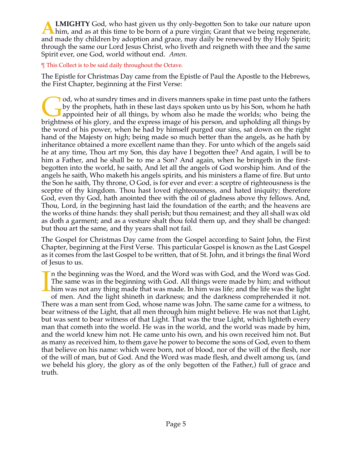**LMIGHTY** God, who hast given us thy only-begotten Son to take our nature upon **A LMIGHTY** God, who hast given us thy only-begotten Son to take our nature upon him, and as at this time to be born of a pure virgin; Grant that we being regenerate, and made thy children by adoption and grace, may daily be renewed by thy Holy Spirit; through the same our Lord Jesus Christ, who liveth and reigneth with thee and the same Spirit ever, one God, world without end. *Amen.*

#### ¶ This Collect is to be said daily throughout the Octave.

The Epistle for Christmas Day came from the Epistle of Paul the Apostle to the Hebrews, the First Chapter, beginning at the First Verse:

od, who at sundry times and in divers manners spake in time past unto the fathers by the prophets, hath in these last days spoken unto us by his Son, whom he hath appointed heir of all things, by whom also he made the worlds; who being the od, who at sundry times and in divers manners spake in time past unto the fathers<br>by the prophets, hath in these last days spoken unto us by his Son, whom he hath<br>appointed heir of all things, by whom also he made the worl the word of his power, when he had by himself purged our sins, sat down on the right hand of the Majesty on high; being made so much better than the angels, as he hath by inheritance obtained a more excellent name than they. For unto which of the angels said he at any time, Thou art my Son, this day have I begotten thee? And again, I will be to him a Father, and he shall be to me a Son? And again, when he bringeth in the firstbegotten into the world, he saith, And let all the angels of God worship him. And of the angels he saith, Who maketh his angels spirits, and his ministers a flame of fire. But unto the Son he saith, Thy throne, O God, is for ever and ever: a sceptre of righteousness is the sceptre of thy kingdom. Thou hast loved righteousness, and hated iniquity; therefore God, even thy God, hath anointed thee with the oil of gladness above thy fellows. And, Thou, Lord, in the beginning hast laid the foundation of the earth; and the heavens are the works of thine hands: they shall perish; but thou remainest; and they all shall wax old as doth a garment; and as a vesture shalt thou fold them up, and they shall be changed: but thou art the same, and thy years shall not fail.

The Gospel for Christmas Day came from the Gospel according to Saint John, the First Chapter, beginning at the First Verse. This particular Gospel is known as the Last Gospel as it comes from the last Gospel to be written, that of St. John, and it brings the final Word of Jesus to us.

n the beginning was the Word, and the Word was with God, and the Word was God. The same was in the beginning with God. All things were made by him; and without him was not any thing made that was made. In him was life; and the life was the light of men. And the light shineth in darkness; and the darkness comprehended it not. There was a man sent from God, whose name was John. The same came for a witness, to bear witness of the Light, that all men through him might believe. He was not that Light, but was sent to bear witness of that Light. That was the true Light, which lighteth every man that cometh into the world. He was in the world, and the world was made by him, and the world knew him not. He came unto his own, and his own received him not. But as many as received him, to them gave he power to become the sons of God, even to them that believe on his name: which were born, not of blood, nor of the will of the flesh, nor of the will of man, but of God. And the Word was made flesh, and dwelt among us, (and we beheld his glory, the glory as of the only begotten of the Father,) full of grace and truth. I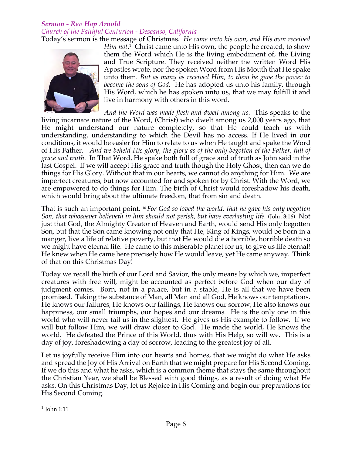## *Sermon - Rev Hap Arnold Church of the Faithful Centurion - Descanso, California*

Today's sermon is the message of Christmas. *He came unto his own, and His own received* 



*Him not*. <sup>1</sup> Christ came unto His own, the people he created, to show them the Word which He is the living embodiment of, the Living and True Scripture. They received neither the written Word His Apostles wrote, nor the spoken Word from His Mouth that He spake unto them. *But as many as received Him, to them he gave the power to become the sons of God.* He has adopted us unto his family, through His Word, which he has spoken unto us, that we may fulfill it and live in harmony with others in this word.

*And the Word was made flesh and dwelt among us.* This speaks to the living incarnate nature of the Word, (Christ) who dwelt among us 2,000 years ago, that He might understand our nature completely, so that He could teach us with understanding, understanding to which the Devil has no access. If He lived in our conditions, it would be easier for Him to relate to us when He taught and spake the Word of His Father. *And we beheld His glory, the glory as of the only begotten of the Father, full of grace and truth*. In That Word, He spake both full of grace and of truth as John said in the last Gospel. If we will accept His grace and truth though the Holy Ghost, then can we do things for His Glory. Without that in our hearts, we cannot do anything for Him. We are imperfect creatures, but now accounted for and spoken for by Christ. With the Word, we are empowered to do things for Him. The birth of Christ would foreshadow his death, which would bring about the ultimate freedom, that from sin and death.

That is such an important point. 16 *For God so loved the world, that he gave his only begotten Son, that whosoever believeth in him should not perish, but have everlasting life.* (John 3:16) Not just that God, the Almighty Creator of Heaven and Earth, would send His only begotten Son, but that the Son came knowing not only that He, King of Kings, would be born in a manger, live a life of relative poverty, but that He would die a horrible, horrible death so we might have eternal life. He came to this miserable planet for us, to give us life eternal! He knew when He came here precisely how He would leave, yet He came anyway. Think of that on this Christmas Day!

Today we recall the birth of our Lord and Savior, the only means by which we, imperfect creatures with free will, might be accounted as perfect before God when our day of judgment comes. Born, not in a palace, but in a stable, He is all that we have been promised. Taking the substance of Man, all Man and all God, He knows our temptations, He knows our failures, He knows our failings, He knows our sorrow; He also knows our happiness, our small triumphs, our hopes and our dreams. He is the only one in this world who will never fail us in the slightest. He gives us His example to follow. If we will but follow Him, we will draw closer to God. He made the world, He knows the world. He defeated the Prince of this World, thus with His Help, so will we. This is a day of joy, foreshadowing a day of sorrow, leading to the greatest joy of all.

Let us joyfully receive Him into our hearts and homes, that we might do what He asks and spread the Joy of His Arrival on Earth that we might prepare for His Second Coming. If we do this and what he asks, which is a common theme that stays the same throughout the Christian Year, we shall be Blessed with good things, as a result of doing what He asks. On this Christmas Day, let us Rejoice in His Coming and begin our preparations for His Second Coming.

 $1$  John 1:11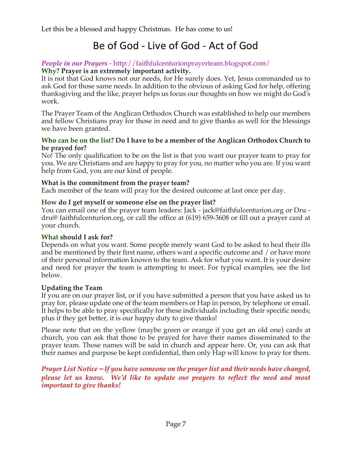## Be of God - Live of God - Act of God

#### *People in our Prayers* - http://faithfulcenturionprayerteam.blogspot.com/ **Why? Prayer is an extremely important activity.**

It is not that God knows not our needs, for He surely does. Yet, Jesus commanded us to ask God for those same needs. In addition to the obvious of asking God for help, offering thanksgiving and the like, prayer helps us focus our thoughts on how we might do God's work.

The Prayer Team of the Anglican Orthodox Church was established to help our members and fellow Christians pray for those in need and to give thanks as well for the blessings we have been granted.

#### **Who can be on the list? Do I have to be a member of the Anglican Orthodox Church to be prayed for?**

No! The only qualification to be on the list is that you want our prayer team to pray for you. We are Christians and are happy to pray for you, no matter who you are. If you want help from God, you are our kind of people.

#### **What is the commitment from the prayer team?**

Each member of the team will pray for the desired outcome at last once per day.

#### **How do I get myself or someone else on the prayer list?**

You can email one of the prayer team leaders: Jack - jack@faithfulcenturion.org or Dru dru@ faithfulcenturion.org, or call the office at (619) 659-3608 or fill out a prayer card at your church.

#### **What should I ask for?**

Depends on what you want. Some people merely want God to be asked to heal their ills and be mentioned by their first name, others want a specific outcome and / or have more of their personal information known to the team. Ask for what you want. It is your desire and need for prayer the team is attempting to meet. For typical examples, see the list below.

## **Updating the Team**

If you are on our prayer list, or if you have submitted a person that you have asked us to pray for, please update one of the team members or Hap in person, by telephone or email. It helps to be able to pray specifically for these individuals including their specific needs; plus if they get better, it is our happy duty to give thanks!

Please note that on the yellow (maybe green or orange if you get an old one) cards at church, you can ask that those to be prayed for have their names disseminated to the prayer team. Those names will be said in church and appear here. Or, you can ask that their names and purpose be kept confidential, then only Hap will know to pray for them.

*Prayer List Notice – If you have someone on the prayer list and their needs have changed, please let us know. We'd like to update our prayers to reflect the need and most important to give thanks!*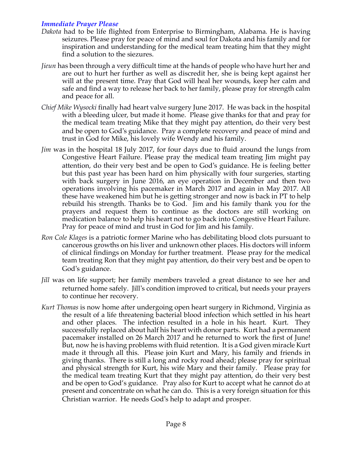#### *Immediate Prayer Please*

- *Dakota* had to be life flighted from Enterprise to Birmingham, Alabama. He is having seizures. Please pray for peace of mind and soul for Dakota and his family and for inspiration and understanding for the medical team treating him that they might find a solution to the siezures.
- *Jieun* has been through a very difficult time at the hands of people who have hurt her and are out to hurt her further as well as discredit her, she is being kept against her will at the present time. Pray that God will heal her wounds, keep her calm and safe and find a way to release her back to her family, please pray for strength calm and peace for all.
- *Chief Mike Wysocki* finally had heart valve surgery June 2017. He was back in the hospital with a bleeding ulcer, but made it home. Please give thanks for that and pray for the medical team treating Mike that they might pay attention, do their very best and be open to God's guidance. Pray a complete recovery and peace of mind and trust in God for Mike, his lovely wife Wendy and his family.
- *Jim* was in the hospital 18 July 2017, for four days due to fluid around the lungs from Congestive Heart Failure. Please pray the medical team treating Jim might pay attention, do their very best and be open to God's guidance. He is feeling better but this past year has been hard on him physically with four surgeries, starting with back surgery in June 2016, an eye operation in December and then two operations involving his pacemaker in March 2017 and again in May 2017. All these have weakened him but he is getting stronger and now is back in PT to help rebuild his strength. Thanks be to God. Jim and his family thank you for the prayers and request them to continue as the doctors are still working on medication balance to help his heart not to go back into Congestive Heart Failure. Pray for peace of mind and trust in God for Jim and his family.
- *Ron Cole Klages* is a patriotic former Marine who has debilitating blood clots pursuant to cancerous growths on his liver and unknown other places. His doctors will inform of clinical findings on Monday for further treatment. Please pray for the medical team treating Ron that they might pay attention, do their very best and be open to God's guidance.
- *Jill* was on life support; her family members traveled a great distance to see her and returned home safely. Jill's condition improved to critical, but needs your prayers to continue her recovery.
- *Kurt Thomas* is now home after undergoing open heart surgery in Richmond, Virginia as the result of a life threatening bacterial blood infection which settled in his heart and other places. The infection resulted in a hole in his heart. Kurt. They successfully replaced about half his heart with donor parts. Kurt had a permanent pacemaker installed on 26 March 2017 and he returned to work the first of June! But, now he is having problems with fluid retention. It is a God given miracle Kurt made it through all this. Please join Kurt and Mary, his family and friends in giving thanks. There is still a long and rocky road ahead; please pray for spiritual and physical strength for Kurt, his wife Mary and their family. Please pray for the medical team treating Kurt that they might pay attention, do their very best and be open to God's guidance. Pray also for Kurt to accept what he cannot do at present and concentrate on what he can do. This is a very foreign situation for this Christian warrior. He needs God's help to adapt and prosper.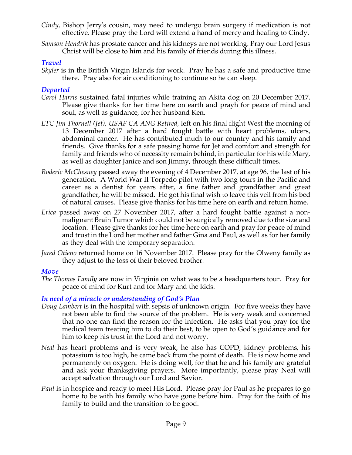- *Cindy,* Bishop Jerry's cousin, may need to undergo brain surgery if medication is not effective. Please pray the Lord will extend a hand of mercy and healing to Cindy.
- *Samson Hendrik* has prostate cancer and his kidneys are not working. Pray our Lord Jesus Christ will be close to him and his family of friends during this illness.

## *Travel*

*Skyler* is in the British Virgin Islands for work. Pray he has a safe and productive time there. Pray also for air conditioning to continue so he can sleep.

#### *Departed*

- *Carol Harris* sustained fatal injuries while training an Akita dog on 20 December 2017. Please give thanks for her time here on earth and prayh for peace of mind and soul, as well as guidance, for her husband Ken.
- *LTC Jim Thornell (Jet), USAF CA ANG Retired,* left on his final flight West the morning of 13 December 2017 after a hard fought battle with heart problems, ulcers, abdominal cancer. He has contributed much to our country and his family and friends. Give thanks for a safe passing home for Jet and comfort and strength for family and friends who of necessity remain behind, in particular for his wife Mary, as well as daughter Janice and son Jimmy, through these difficult times.
- *Roderic McChesney* passed away the evening of 4 December 2017, at age 96, the last of his generation. A World War II Torpedo pilot with two long tours in the Pacific and career as a dentist for years after, a fine father and grandfather and great grandfather, he will be missed. He got his final wish to leave this veil from his bed of natural causes. Please give thanks for his time here on earth and return home.
- *Erica* passed away on 27 November 2017, after a hard fought battle against a nonmalignant Brain Tumor which could not be surgically removed due to the size and location. Please give thanks for her time here on earth and pray for peace of mind and trust in the Lord her mother and father Gina and Paul, as well as for her family as they deal with the temporary separation.
- *Jared Otieno* returned home on 16 November 2017. Please pray for the Olweny family as they adjust to the loss of their beloved brother*.*

## *Move*

*The Thomas Family* are now in Virginia on what was to be a headquarters tour. Pray for peace of mind for Kurt and for Mary and the kids.

## *In need of a miracle or understanding of God's Plan*

- *Doug Lambert* is in the hospital with sepsis of unknown origin. For five weeks they have not been able to find the source of the problem. He is very weak and concerned that no one can find the reason for the infection. He asks that you pray for the medical team treating him to do their best, to be open to God's guidance and for him to keep his trust in the Lord and not worry.
- *Neal* has heart problems and is very weak, he also has COPD, kidney problems, his potassium is too high, he came back from the point of death. He is now home and permanently on oxygen. He is doing well, for that he and his family are grateful and ask your thanksgiving prayers. More importantly, please pray Neal will accept salvation through our Lord and Savior.
- *Paul* is in hospice and ready to meet His Lord. Please pray for Paul as he prepares to go home to be with his family who have gone before him. Pray for the faith of his family to build and the transition to be good.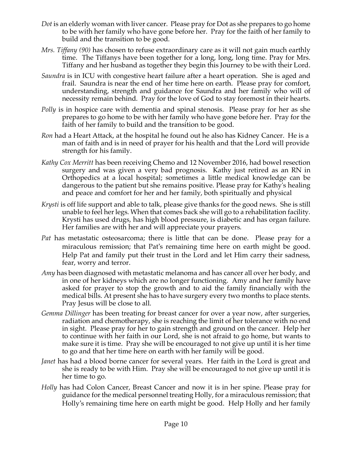- *Dot* is an elderly woman with liver cancer. Please pray for Dot as she prepares to go home to be with her family who have gone before her. Pray for the faith of her family to build and the transition to be good.
- *Mrs. Tiffany (90)* has chosen to refuse extraordinary care as it will not gain much earthly time. The Tiffanys have been together for a long, long, long time. Pray for Mrs. Tiffany and her husband as together they begin this Journey to be with their Lord.
- *Saundra* is in ICU with congestive heart failure after a heart operation. She is aged and frail. Saundra is near the end of her time here on earth. Please pray for comfort, understanding, strength and guidance for Saundra and her family who will of necessity remain behind. Pray for the love of God to stay foremost in their hearts.
- *Polly* is in hospice care with dementia and spinal stenosis. Please pray for her as she prepares to go home to be with her family who have gone before her. Pray for the faith of her family to build and the transition to be good.
- *Ron* had a Heart Attack, at the hospital he found out he also has Kidney Cancer. He is a man of faith and is in need of prayer for his health and that the Lord will provide strength for his family.
- *Kathy Cox Merritt* has been receiving Chemo and 12 November 2016, had bowel resection surgery and was given a very bad prognosis. Kathy just retired as an RN in Orthopedics at a local hospital; sometimes a little medical knowledge can be dangerous to the patient but she remains positive. Please pray for Kathy's healing and peace and comfort for her and her family, both spiritually and physical
- *Krysti* is off life support and able to talk, please give thanks for the good news. She is still unable to feel her legs. When that comes back she will go to a rehabilitation facility. Krysti has used drugs, has high blood pressure, is diabetic and has organ failure. Her families are with her and will appreciate your prayers.
- *Pat* has metastatic osteosarcoma; there is little that can be done. Please pray for a miraculous remission; that Pat's remaining time here on earth might be good. Help Pat and family put their trust in the Lord and let Him carry their sadness, fear, worry and terror.
- *Amy* has been diagnosed with metastatic melanoma and has cancer all over her body, and in one of her kidneys which are no longer functioning. Amy and her family have asked for prayer to stop the growth and to aid the family financially with the medical bills. At present she has to have surgery every two months to place stents. Pray Jesus will be close to all.
- *Gemma Dillinger* has been treating for breast cancer for over a year now, after surgeries, radiation and chemotherapy, she is reaching the limit of her tolerance with no end in sight. Please pray for her to gain strength and ground on the cancer. Help her to continue with her faith in our Lord, she is not afraid to go home, but wants to make sure it is time. Pray she will be encouraged to not give up until it is her time to go and that her time here on earth with her family will be good.
- *Janet* has had a blood borne cancer for several years. Her faith in the Lord is great and she is ready to be with Him. Pray she will be encouraged to not give up until it is her time to go.
- *Holly* has had Colon Cancer, Breast Cancer and now it is in her spine. Please pray for guidance for the medical personnel treating Holly, for a miraculous remission; that Holly's remaining time here on earth might be good. Help Holly and her family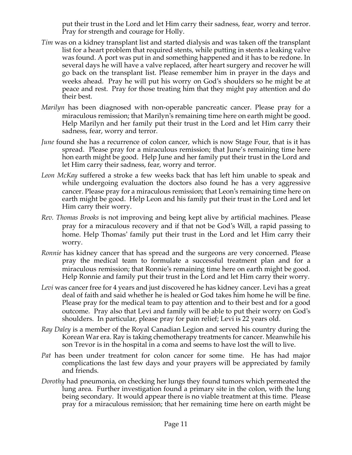put their trust in the Lord and let Him carry their sadness, fear, worry and terror. Pray for strength and courage for Holly.

- *Tim* was on a kidney transplant list and started dialysis and was taken off the transplant list for a heart problem that required stents, while putting in stents a leaking valve was found. A port was put in and something happened and it has to be redone. In several days he will have a valve replaced, after heart surgery and recover he will go back on the transplant list. Please remember him in prayer in the days and weeks ahead. Pray he will put his worry on God's shoulders so he might be at peace and rest. Pray for those treating him that they might pay attention and do their best.
- *Marilyn* has been diagnosed with non-operable pancreatic cancer. Please pray for a miraculous remission; that Marilyn's remaining time here on earth might be good. Help Marilyn and her family put their trust in the Lord and let Him carry their sadness, fear, worry and terror.
- *June* found she has a recurrence of colon cancer, which is now Stage Four, that is it has spread. Please pray for a miraculous remission; that June's remaining time here hon earth might be good. Help June and her family put their trust in the Lord and let Him carry their sadness, fear, worry and terror.
- *Leon McKay* suffered a stroke a few weeks back that has left him unable to speak and while undergoing evaluation the doctors also found he has a very aggressive cancer. Please pray for a miraculous remission; that Leon's remaining time here on earth might be good. Help Leon and his family put their trust in the Lord and let Him carry their worry.
- *Rev. Thomas Brooks* is not improving and being kept alive by artificial machines. Please pray for a miraculous recovery and if that not be God's Will, a rapid passing to home. Help Thomas' family put their trust in the Lord and let Him carry their worry.
- *Ronnie* has kidney cancer that has spread and the surgeons are very concerned. Please pray the medical team to formulate a successful treatment plan and for a miraculous remission; that Ronnie's remaining time here on earth might be good. Help Ronnie and family put their trust in the Lord and let Him carry their worry.
- Levi was cancer free for 4 years and just discovered he has kidney cancer. Levi has a great deal of faith and said whether he is healed or God takes him home he will be fine. Please pray for the medical team to pay attention and to their best and for a good outcome. Pray also that Levi and family will be able to put their worry on God's shoulders. In particular, please pray for pain relief; Levi is 22 years old.
- *Ray Daley* is a member of the Royal Canadian Legion and served his country during the Korean War era. Ray is taking chemotherapy treatments for cancer. Meanwhile his son Trevor is in the hospital in a coma and seems to have lost the will to live.
- *Pat* has been under treatment for colon cancer for some time. He has had major complications the last few days and your prayers will be appreciated by family and friends.
- *Dorothy* had pneumonia, on checking her lungs they found tumors which permeated the lung area. Further investigation found a primary site in the colon, with the lung being secondary. It would appear there is no viable treatment at this time. Please pray for a miraculous remission; that her remaining time here on earth might be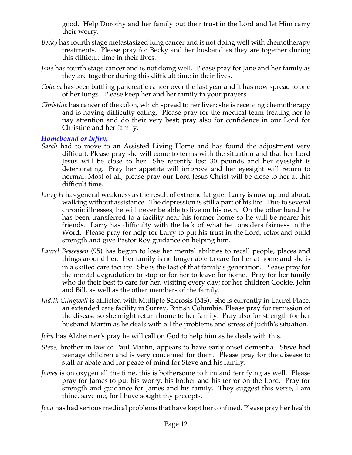good. Help Dorothy and her family put their trust in the Lord and let Him carry their worry.

- *Becky* has fourth stage metastasized lung cancer and is not doing well with chemotherapy treatments. Please pray for Becky and her husband as they are together during this difficult time in their lives.
- *Jane* has fourth stage cancer and is not doing well. Please pray for Jane and her family as they are together during this difficult time in their lives.
- *Colleen* has been battling pancreatic cancer over the last year and it has now spread to one of her lungs. Please keep her and her family in your prayers.
- *Christine* has cancer of the colon, which spread to her liver; she is receiving chemotherapy and is having difficulty eating. Please pray for the medical team treating her to pay attention and do their very best; pray also for confidence in our Lord for Christine and her family.

#### *Homebound or Infirm*

- *Sarah* had to move to an Assisted Living Home and has found the adjustment very difficult. Please pray she will come to terms with the situation and that her Lord Jesus will be close to her. She recently lost 30 pounds and her eyesight is deteriorating. Pray her appetite will improve and her eyesight will return to normal. Most of all, please pray our Lord Jesus Christ will be close to her at this difficult time.
- *Larry H* has general weakness as the result of extreme fatigue. Larry is now up and about, walking without assistance. The depression is still a part of his life. Due to several chronic illnesses, he will never be able to live on his own. On the other hand, he has been transferred to a facility near his former home so he will be nearer his friends. Larry has difficulty with the lack of what he considers fairness in the Word. Please pray for help for Larry to put his trust in the Lord, relax and build strength and give Pastor Roy guidance on helping him.
- *Laurel Bessessen* (95) has begun to lose her mental abilities to recall people, places and things around her. Her family is no longer able to care for her at home and she is in a skilled care facility. She is the last of that family's generation. Please pray for the mental degradation to stop or for her to leave for home. Pray for her family who do their best to care for her, visiting every day; for her children Cookie, John and Bill, as well as the other members of the family.
- *Judith Clingwall* is afflicted with Multiple Sclerosis (MS). She is currently in Laurel Place, an extended care facility in Surrey, British Columbia. Please pray for remission of the disease so she might return home to her family. Pray also for strength for her husband Martin as he deals with all the problems and stress of Judith's situation.

*John* has Alzheimer's pray he will call on God to help him as he deals with this.

- *Steve,* brother in law of Paul Martin, appears to have early onset dementia. Steve had teenage children and is very concerned for them. Please pray for the disease to stall or abate and for peace of mind for Steve and his family.
- *James* is on oxygen all the time, this is bothersome to him and terrifying as well. Please pray for James to put his worry, his bother and his terror on the Lord. Pray for strength and guidance for James and his family. They suggest this verse, I am thine, save me, for I have sought thy precepts.

*Joan* has had serious medical problems that have kept her confined. Please pray her health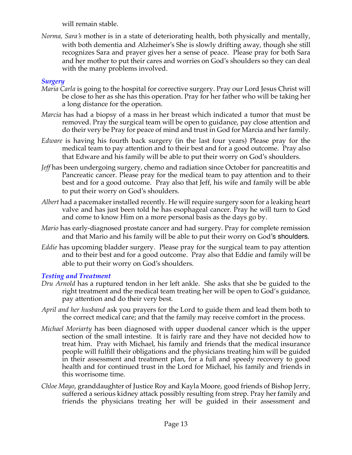will remain stable.

*Norma, Sara's* mother is in a state of deteriorating health, both physically and mentally, with both dementia and Alzheimer's She is slowly drifting away, though she still recognizes Sara and prayer gives her a sense of peace. Please pray for both Sara and her mother to put their cares and worries on God's shoulders so they can deal with the many problems involved.

## *Surgery*

- *Maria Carla* is going to the hospital for corrective surgery. Pray our Lord Jesus Christ will be close to her as she has this operation. Pray for her father who will be taking her a long distance for the operation.
- *Marcia* has had a biopsy of a mass in her breast which indicated a tumor that must be removed. Pray the surgical team will be open to guidance, pay close attention and do their very be Pray for peace of mind and trust in God for Marcia and her family.
- *Edware* is having his fourth back surgery (in the last four years) Please pray for the medical team to pay attention and to their best and for a good outcome. Pray also that Edware and his family will be able to put their worry on God's shoulders.
- *Jeff* has been undergoing surgery, chemo and radiation since October for pancreatitis and Pancreatic cancer. Please pray for the medical team to pay attention and to their best and for a good outcome. Pray also that Jeff, his wife and family will be able to put their worry on God's shoulders.
- *Albert* had a pacemaker installed recently. He will require surgery soon for a leaking heart valve and has just been told he has esophageal cancer. Pray he will turn to God and come to know Him on a more personal basis as the days go by.
- *Mario* has early-diagnosed prostate cancer and had surgery. Pray for complete remission and that Mario and his family will be able to put their worry on God's shoulders.
- *Eddie* has upcoming bladder surgery. Please pray for the surgical team to pay attention and to their best and for a good outcome. Pray also that Eddie and family will be able to put their worry on God's shoulders.

## *Testing and Treatment*

- *Dru Arnold* has a ruptured tendon in her left ankle. She asks that she be guided to the right treatment and the medical team treating her will be open to God's guidance, pay attention and do their very best.
- *April and her husband* ask you prayers for the Lord to guide them and lead them both to the correct medical care; and that the family may receive comfort in the process.
- *Michael Moriarty* has been diagnosed with upper duodenal cancer which is the upper section of the small intestine. It is fairly rare and they have not decided how to treat him. Pray with Michael, his family and friends that the medical insurance people will fulfill their obligations and the physicians treating him will be guided in their assessment and treatment plan, for a full and speedy recovery to good health and for continued trust in the Lord for Michael, his family and friends in this worrisome time.
- *Chloe Mayo*, granddaughter of Justice Roy and Kayla Moore, good friends of Bishop Jerry, suffered a serious kidney attack possibly resulting from strep. Pray her family and friends the physicians treating her will be guided in their assessment and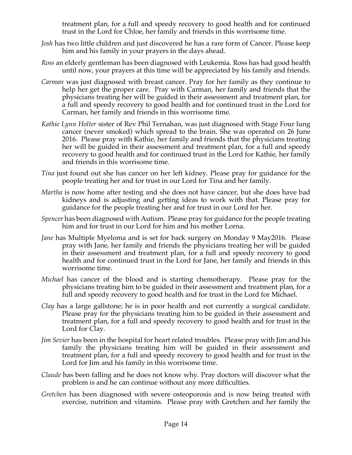treatment plan, for a full and speedy recovery to good health and for continued trust in the Lord for Chloe, her family and friends in this worrisome time.

- *Josh* has two little children and just discovered he has a rare form of Cancer. Please keep him and his family in your prayers in the days ahead.
- *Ross* an elderly gentleman has been diagnosed with Leukemia. Ross has had good health until now, your prayers at this time will be appreciated by his family and friends.
- *Carman* was just diagnosed with breast cancer. Pray for her family as they continue to help her get the proper care. Pray with Carman, her family and friends that the physicians treating her will be guided in their assessment and treatment plan, for a full and speedy recovery to good health and for continued trust in the Lord for Carman, her family and friends in this worrisome time.
- *Kathie Lynn Holter* sister of Rev Phil Ternahan, was just diagnosed with Stage Four lung cancer (never smoked) which spread to the brain. She was operated on 26 June 2016. Please pray with Kathie, her family and friends that the physicians treating her will be guided in their assessment and treatment plan, for a full and speedy recovery to good health and for continued trust in the Lord for Kathie, her family and friends in this worrisome time.
- *Tina* just found out she has cancer on her left kidney. Please pray for guidance for the people treating her and for trust in our Lord for Tina and her family.
- *Martha* is now home after testing and she does not have cancer, but she does have bad kidneys and is adjusting and getting ideas to work with that. Please pray for guidance for the people treating her and for trust in our Lord for her.
- *Spencer* has been diagnosed with Autism. Please pray for guidance for the people treating him and for trust in our Lord for him and his mother Lorna.
- *Jane* has Multiple Myeloma and is set for back surgery on Monday 9 May2016. Please pray with Jane, her family and friends the physicians treating her will be guided in their assessment and treatment plan, for a full and speedy recovery to good health and for continued trust in the Lord for Jane, her family and friends in this worrisome time.
- *Michael* has cancer of the blood and is starting chemotherapy. Please pray for the physicians treating him to be guided in their assessment and treatment plan, for a full and speedy recovery to good health and for trust in the Lord for Michael.
- *Clay* has a large gallstone; he is in poor health and not currently a surgical candidate. Please pray for the physicians treating him to be guided in their assessment and treatment plan, for a full and speedy recovery to good health and for trust in the Lord for Clay.
- *Jim Sevier* has been in the hospital for heart related troubles. Please pray with Jim and his family the physicians treating him will be guided in their assessment and treatment plan, for a full and speedy recovery to good health and for trust in the Lord for Jim and his family in this worrisome time.
- *Claude* has been falling and he does not know why. Pray doctors will discover what the problem is and he can continue without any more difficulties.
- *Gretchen* has been diagnosed with severe osteoporosis and is now being treated with exercise, nutrition and vitamins. Please pray with Gretchen and her family the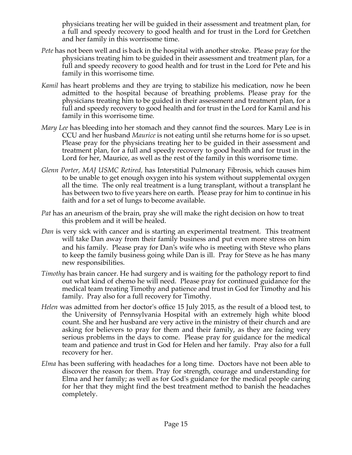physicians treating her will be guided in their assessment and treatment plan, for a full and speedy recovery to good health and for trust in the Lord for Gretchen and her family in this worrisome time.

- *Pete* has not been well and is back in the hospital with another stroke. Please pray for the physicians treating him to be guided in their assessment and treatment plan, for a full and speedy recovery to good health and for trust in the Lord for Pete and his family in this worrisome time.
- *Kamil* has heart problems and they are trying to stabilize his medication, now he been admitted to the hospital because of breathing problems. Please pray for the physicians treating him to be guided in their assessment and treatment plan, for a full and speedy recovery to good health and for trust in the Lord for Kamil and his family in this worrisome time.
- *Mary Lee* has bleeding into her stomach and they cannot find the sources. Mary Lee is in CCU and her husband *Maurice* is not eating until she returns home for is so upset. Please pray for the physicians treating her to be guided in their assessment and treatment plan, for a full and speedy recovery to good health and for trust in the Lord for her, Maurice, as well as the rest of the family in this worrisome time.
- *Glenn Porter, MAJ USMC Retired,* has Interstitial Pulmonary Fibrosis, which causes him to be unable to get enough oxygen into his system without supplemental oxygen all the time. The only real treatment is a lung transplant, without a transplant he has between two to five years here on earth. Please pray for him to continue in his faith and for a set of lungs to become available.
- *Pat* has an aneurism of the brain, pray she will make the right decision on how to treat this problem and it will be healed.
- *Dan* is very sick with cancer and is starting an experimental treatment. This treatment will take Dan away from their family business and put even more stress on him and his family. Please pray for Dan's wife who is meeting with Steve who plans to keep the family business going while Dan is ill. Pray for Steve as he has many new responsibilities.
- *Timothy* has brain cancer. He had surgery and is waiting for the pathology report to find out what kind of chemo he will need. Please pray for continued guidance for the medical team treating Timothy and patience and trust in God for Timothy and his family. Pray also for a full recovery for Timothy.
- *Helen* was admitted from her doctor's office 15 July 2015, as the result of a blood test, to the University of Pennsylvania Hospital with an extremely high white blood count. She and her husband are very active in the ministry of their church and are asking for believers to pray for them and their family, as they are facing very serious problems in the days to come. Please pray for guidance for the medical team and patience and trust in God for Helen and her family. Pray also for a full recovery for her.
- *Elma* has been suffering with headaches for a long time. Doctors have not been able to discover the reason for them. Pray for strength, courage and understanding for Elma and her family; as well as for God's guidance for the medical people caring for her that they might find the best treatment method to banish the headaches completely.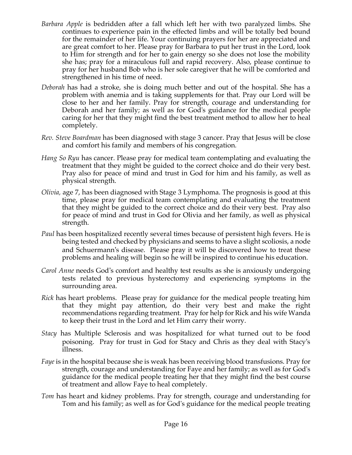- *Barbara Apple* is bedridden after a fall which left her with two paralyzed limbs. She continues to experience pain in the effected limbs and will be totally bed bound for the remainder of her life. Your continuing prayers for her are appreciated and are great comfort to her. Please pray for Barbara to put her trust in the Lord, look to Him for strength and for her to gain energy so she does not lose the mobility she has; pray for a miraculous full and rapid recovery. Also, please continue to pray for her husband Bob who is her sole caregiver that he will be comforted and strengthened in his time of need.
- *Deborah* has had a stroke, she is doing much better and out of the hospital. She has a problem with anemia and is taking supplements for that. Pray our Lord will be close to her and her family. Pray for strength, courage and understanding for Deborah and her family; as well as for God's guidance for the medical people caring for her that they might find the best treatment method to allow her to heal completely.
- *Rev. Steve Boardman* has been diagnosed with stage 3 cancer. Pray that Jesus will be close and comfort his family and members of his congregation*.*
- *Hang So Ryu* has cancer. Please pray for medical team contemplating and evaluating the treatment that they might be guided to the correct choice and do their very best. Pray also for peace of mind and trust in God for him and his family, as well as physical strength.
- *Olivia,* age 7, has been diagnosed with Stage 3 Lymphoma. The prognosis is good at this time, please pray for medical team contemplating and evaluating the treatment that they might be guided to the correct choice and do their very best. Pray also for peace of mind and trust in God for Olivia and her family, as well as physical strength.
- *Paul* has been hospitalized recently several times because of persistent high fevers. He is being tested and checked by physicians and seems to have a slight scoliosis, a node and Schuermann's disease. Please pray it will be discovered how to treat these problems and healing will begin so he will be inspired to continue his education.
- *Carol Anne* needs God's comfort and healthy test results as she is anxiously undergoing tests related to previous hysterectomy and experiencing symptoms in the surrounding area.
- *Rick* has heart problems. Please pray for guidance for the medical people treating him that they might pay attention, do their very best and make the right recommendations regarding treatment. Pray for help for Rick and his wife Wanda to keep their trust in the Lord and let Him carry their worry.
- *Stacy* has Multiple Sclerosis and was hospitalized for what turned out to be food poisoning. Pray for trust in God for Stacy and Chris as they deal with Stacy's illness.
- *Faye* is in the hospital because she is weak has been receiving blood transfusions. Pray for strength, courage and understanding for Faye and her family; as well as for God's guidance for the medical people treating her that they might find the best course of treatment and allow Faye to heal completely.
- *Tom* has heart and kidney problems. Pray for strength, courage and understanding for Tom and his family; as well as for God's guidance for the medical people treating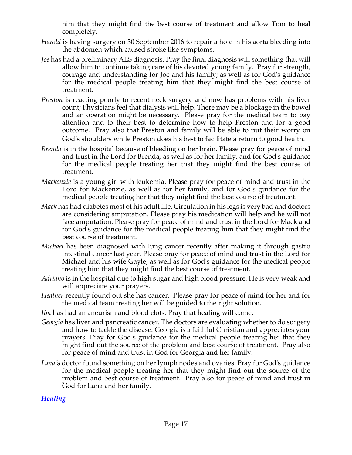him that they might find the best course of treatment and allow Tom to heal completely.

- *Harold* is having surgery on 30 September 2016 to repair a hole in his aorta bleeding into the abdomen which caused stroke like symptoms.
- *Joe* has had a preliminary ALS diagnosis. Pray the final diagnosis will something that will allow him to continue taking care of his devoted young family. Pray for strength, courage and understanding for Joe and his family; as well as for God's guidance for the medical people treating him that they might find the best course of treatment.
- *Preston* is reacting poorly to recent neck surgery and now has problems with his liver count; Physicians feel that dialysis will help. There may be a blockage in the bowel and an operation might be necessary. Please pray for the medical team to pay attention and to their best to determine how to help Preston and for a good outcome. Pray also that Preston and family will be able to put their worry on God's shoulders while Preston does his best to facilitate a return to good health.
- *Brenda* is in the hospital because of bleeding on her brain. Please pray for peace of mind and trust in the Lord for Brenda, as well as for her family, and for God's guidance for the medical people treating her that they might find the best course of treatment.
- *Mackenzie* is a young girl with leukemia. Please pray for peace of mind and trust in the Lord for Mackenzie, as well as for her family, and for God's guidance for the medical people treating her that they might find the best course of treatment.
- *Mack* has had diabetes most of his adult life. Circulation in his legs is very bad and doctors are considering amputation. Please pray his medication will help and he will not face amputation. Please pray for peace of mind and trust in the Lord for Mack and for God's guidance for the medical people treating him that they might find the best course of treatment.
- *Michael* has been diagnosed with lung cancer recently after making it through gastro intestinal cancer last year. Please pray for peace of mind and trust in the Lord for Michael and his wife Gayle; as well as for God's guidance for the medical people treating him that they might find the best course of treatment.
- *Adriano* is in the hospital due to high sugar and high blood pressure. He is very weak and will appreciate your prayers.
- *Heather* recently found out she has cancer. Please pray for peace of mind for her and for the medical team treating her will be guided to the right solution.
- *Jim* has had an aneurism and blood clots. Pray that healing will come.
- *Georgia* has liver and pancreatic cancer. The doctors are evaluating whether to do surgery and how to tackle the disease. Georgia is a faithful Christian and appreciates your prayers. Pray for God's guidance for the medical people treating her that they might find out the source of the problem and best course of treatment. Pray also for peace of mind and trust in God for Georgia and her family.
- *Lana's* doctor found something on her lymph nodes and ovaries. Pray for God's guidance for the medical people treating her that they might find out the source of the problem and best course of treatment. Pray also for peace of mind and trust in God for Lana and her family.

## *Healing*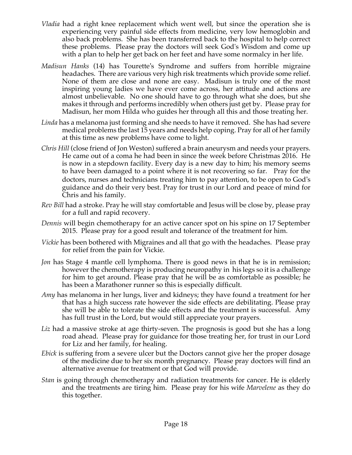- *Vladia* had a right knee replacement which went well, but since the operation she is experiencing very painful side effects from medicine, very low hemoglobin and also back problems. She has been transferred back to the hospital to help correct these problems. Please pray the doctors will seek God's Wisdom and come up with a plan to help her get back on her feet and have some normalcy in her life.
- *Madisun Hanks* (14) has Tourette's Syndrome and suffers from horrible migraine headaches. There are various very high risk treatments which provide some relief. None of them are close and none are easy. Madisun is truly one of the most inspiring young ladies we have ever come across, her attitude and actions are almost unbelievable. No one should have to go through what she does, but she makes it through and performs incredibly when others just get by. Please pray for Madisun, her mom Hilda who guides her through all this and those treating her.
- *Linda* has a melanoma just forming and she needs to have it removed. She has had severe medical problems the last 15 years and needs help coping. Pray for all of her family at this time as new problems have come to light.
- *Chris Hill* (close friend of Jon Weston) suffered a brain aneurysm and needs your prayers. He came out of a coma he had been in since the week before Christmas 2016. He is now in a stepdown facility. Every day is a new day to him; his memory seems to have been damaged to a point where it is not recovering so far. Pray for the doctors, nurses and technicians treating him to pay attention, to be open to God's guidance and do their very best. Pray for trust in our Lord and peace of mind for Chris and his family.
- *Rev Bill* had a stroke. Pray he will stay comfortable and Jesus will be close by, please pray for a full and rapid recovery.
- *Dennis* will begin chemotherapy for an active cancer spot on his spine on 17 September 2015. Please pray for a good result and tolerance of the treatment for him.
- *Vickie* has been bothered with Migraines and all that go with the headaches. Please pray for relief from the pain for Vickie.
- *Jon* has Stage 4 mantle cell lymphoma. There is good news in that he is in remission; however the chemotherapy is producing neuropathy in his legs so it is a challenge for him to get around. Please pray that he will be as comfortable as possible; he has been a Marathoner runner so this is especially difficult.
- *Amy* has melanoma in her lungs, liver and kidneys; they have found a treatment for her that has a high success rate however the side effects are debilitating. Please pray she will be able to tolerate the side effects and the treatment is successful. Amy has full trust in the Lord, but would still appreciate your prayers.
- *Liz* had a massive stroke at age thirty-seven. The prognosis is good but she has a long road ahead. Please pray for guidance for those treating her, for trust in our Lord for Liz and her family, for healing.
- *Ebick* is suffering from a severe ulcer but the Doctors cannot give her the proper dosage of the medicine due to her six month pregnancy. Please pray doctors will find an alternative avenue for treatment or that God will provide.
- *Stan* is going through chemotherapy and radiation treatments for cancer. He is elderly and the treatments are tiring him. Please pray for his wife *Marvelene* as they do this together.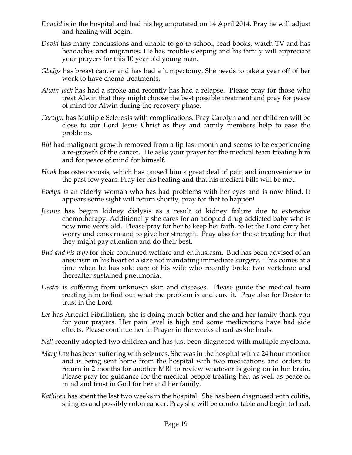- *Donald* is in the hospital and had his leg amputated on 14 April 2014. Pray he will adjust and healing will begin.
- *David* has many concussions and unable to go to school, read books, watch TV and has headaches and migraines. He has trouble sleeping and his family will appreciate your prayers for this 10 year old young man.
- *Gladys* has breast cancer and has had a lumpectomy. She needs to take a year off of her work to have chemo treatments.
- *Alwin Jack* has had a stroke and recently has had a relapse. Please pray for those who treat Alwin that they might choose the best possible treatment and pray for peace of mind for Alwin during the recovery phase.
- *Carolyn* has Multiple Sclerosis with complications. Pray Carolyn and her children will be close to our Lord Jesus Christ as they and family members help to ease the problems.
- *Bill* had malignant growth removed from a lip last month and seems to be experiencing a re-growth of the cancer. He asks your prayer for the medical team treating him and for peace of mind for himself.
- *Hank* has osteoporosis, which has caused him a great deal of pain and inconvenience in the past few years. Pray for his healing and that his medical bills will be met.
- *Evelyn is* an elderly woman who has had problems with her eyes and is now blind. It appears some sight will return shortly, pray for that to happen!
- *Joanne* has begun kidney dialysis as a result of kidney failure due to extensive chemotherapy. Additionally she cares for an adopted drug addicted baby who is now nine years old. Please pray for her to keep her faith, to let the Lord carry her worry and concern and to give her strength. Pray also for those treating her that they might pay attention and do their best.
- *Bud and his wife* for their continued welfare and enthusiasm. Bud has been advised of an aneurism in his heart of a size not mandating immediate surgery. This comes at a time when he has sole care of his wife who recently broke two vertebrae and thereafter sustained pneumonia.
- *Dester* is suffering from unknown skin and diseases. Please guide the medical team treating him to find out what the problem is and cure it. Pray also for Dester to trust in the Lord.
- *Lee* has Arterial Fibrillation, she is doing much better and she and her family thank you for your prayers. Her pain level is high and some medications have bad side effects. Please continue her in Prayer in the weeks ahead as she heals.
- *Nell* recently adopted two children and has just been diagnosed with multiple myeloma.
- *Mary Lou* has been suffering with seizures. She was in the hospital with a 24 hour monitor and is being sent home from the hospital with two medications and orders to return in 2 months for another MRI to review whatever is going on in her brain. Please pray for guidance for the medical people treating her, as well as peace of mind and trust in God for her and her family.
- *Kathleen* has spent the last two weeks in the hospital. She has been diagnosed with colitis, shingles and possibly colon cancer. Pray she will be comfortable and begin to heal.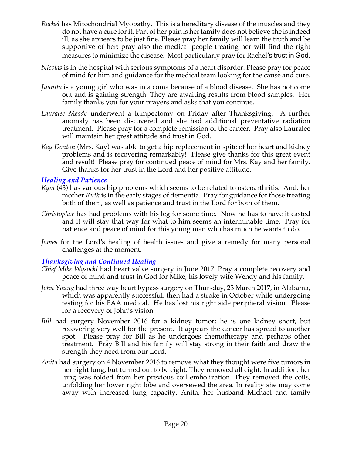- *Rachel* has Mitochondrial Myopathy. This is a hereditary disease of the muscles and they do not have a cure for it. Part of her pain is her family does not believe she is indeed ill, as she appears to be just fine. Please pray her family will learn the truth and be supportive of her; pray also the medical people treating her will find the right measures to minimize the disease. Most particularly pray for Rachel's trust in God.
- *Nicolas* is in the hospital with serious symptoms of a heart disorder. Please pray for peace of mind for him and guidance for the medical team looking for the cause and cure.
- *Juanita* is a young girl who was in a coma because of a blood disease. She has not come out and is gaining strength. They are awaiting results from blood samples. Her family thanks you for your prayers and asks that you continue.
- *Lauralee Meade* underwent a lumpectomy on Friday after Thanksgiving. A further anomaly has been discovered and she had additional preventative radiation treatment. Please pray for a complete remission of the cancer. Pray also Lauralee will maintain her great attitude and trust in God.
- *Kay Denton* (Mrs. Kay) was able to get a hip replacement in spite of her heart and kidney problems and is recovering remarkably! Please give thanks for this great event and result! Please pray for continued peace of mind for Mrs. Kay and her family. Give thanks for her trust in the Lord and her positive attitude.

#### *Healing and Patience*

- *Kym* (43) has various hip problems which seems to be related to osteoarthritis. And, her mother *Ruth* is in the early stages of dementia. Pray for guidance for those treating both of them, as well as patience and trust in the Lord for both of them.
- *Christopher* has had problems with his leg for some time. Now he has to have it casted and it will stay that way for what to him seems an interminable time. Pray for patience and peace of mind for this young man who has much he wants to do.
- *James* for the Lord's healing of health issues and give a remedy for many personal challenges at the moment.

## *Thanksgiving and Continued Healing*

- *Chief Mike Wysocki* had heart valve surgery in June 2017. Pray a complete recovery and peace of mind and trust in God for Mike, his lovely wife Wendy and his family.
- *John Young* had three way heart bypass surgery on Thursday, 23 March 2017, in Alabama, which was apparently successful, then had a stroke in October while undergoing testing for his FAA medical. He has lost his right side peripheral vision. Please for a recovery of John's vision.
- *Bill* had surgery November 2016 for a kidney tumor; he is one kidney short, but recovering very well for the present. It appears the cancer has spread to another spot. Please pray for Bill as he undergoes chemotherapy and perhaps other treatment. Pray Bill and his family will stay strong in their faith and draw the strength they need from our Lord.
- *Anita* had surgery on 4 November 2016 to remove what they thought were five tumors in her right lung, but turned out to be eight. They removed all eight. In addition, her lung was folded from her previous coil embolization. They removed the coils, unfolding her lower right lobe and oversewed the area. In reality she may come away with increased lung capacity. Anita, her husband Michael and family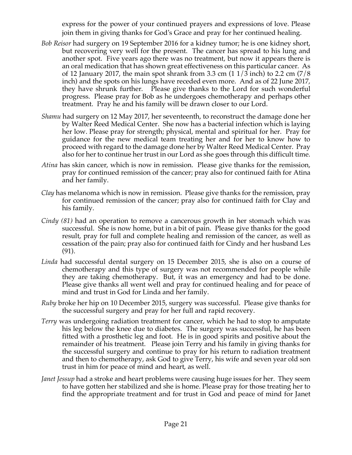express for the power of your continued prayers and expressions of love. Please join them in giving thanks for God's Grace and pray for her continued healing.

- *Bob Reisor* had surgery on 19 September 2016 for a kidney tumor; he is one kidney short, but recovering very well for the present. The cancer has spread to his lung and another spot. Five years ago there was no treatment, but now it appears there is an oral medication that has shown great effectiveness on this particular cancer. As of 12 January 2017, the main spot shrank from 3.3 cm  $(11/3 \text{ inch})$  to 2.2 cm  $(7/8 \text{ ft})$ inch) and the spots on his lungs have receded even more. And as of 22 June 2017, they have shrunk further. Please give thanks to the Lord for such wonderful progress. Please pray for Bob as he undergoes chemotherapy and perhaps other treatment. Pray he and his family will be drawn closer to our Lord.
- *Shamu* had surgery on 12 May 2017, her seventeenth, to reconstruct the damage done her by Walter Reed Medical Center. She now has a bacterial infection which is laying her low. Please pray for strength; physical, mental and spiritual for her. Pray for guidance for the new medical team treating her and for her to know how to proceed with regard to the damage done her by Walter Reed Medical Center. Pray also for her to continue her trust in our Lord as she goes through this difficult time.
- *Atina* has skin cancer, which is now in remission. Please give thanks for the remission, pray for continued remission of the cancer; pray also for continued faith for Atina and her family.
- *Clay* has melanoma which is now in remission. Please give thanks for the remission, pray for continued remission of the cancer; pray also for continued faith for Clay and his family.
- *Cindy (81)* had an operation to remove a cancerous growth in her stomach which was successful. She is now home, but in a bit of pain. Please give thanks for the good result, pray for full and complete healing and remission of the cancer, as well as cessation of the pain; pray also for continued faith for Cindy and her husband Les (91).
- *Linda* had successful dental surgery on 15 December 2015, she is also on a course of chemotherapy and this type of surgery was not recommended for people while they are taking chemotherapy. But, it was an emergency and had to be done. Please give thanks all went well and pray for continued healing and for peace of mind and trust in God for Linda and her family.
- *Ruby* broke her hip on 10 December 2015, surgery was successful. Please give thanks for the successful surgery and pray for her full and rapid recovery.
- *Terry* was undergoing radiation treatment for cancer, which he had to stop to amputate his leg below the knee due to diabetes. The surgery was successful, he has been fitted with a prosthetic leg and foot. He is in good spirits and positive about the remainder of his treatment. Please join Terry and his family in giving thanks for the successful surgery and continue to pray for his return to radiation treatment and then to chemotherapy, ask God to give Terry, his wife and seven year old son trust in him for peace of mind and heart, as well.
- *Janet Jessup* had a stroke and heart problems were causing huge issues for her. They seem to have gotten her stabilized and she is home. Please pray for those treating her to find the appropriate treatment and for trust in God and peace of mind for Janet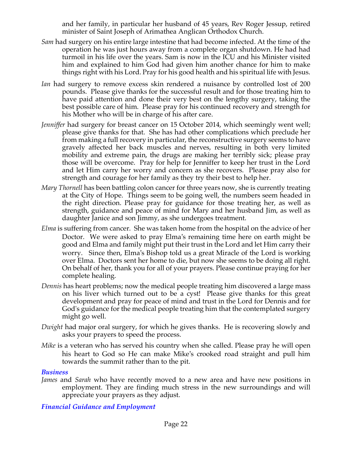and her family, in particular her husband of 45 years, Rev Roger Jessup, retired minister of Saint Joseph of Arimathea Anglican Orthodox Church.

- *Sam* had surgery on his entire large intestine that had become infected. At the time of the operation he was just hours away from a complete organ shutdown. He had had turmoil in his life over the years. Sam is now in the ICU and his Minister visited him and explained to him God had given him another chance for him to make things right with his Lord. Pray for his good health and his spiritual life with Jesus.
- *Ian* had surgery to remove excess skin rendered a nuisance by controlled lost of 200 pounds. Please give thanks for the successful result and for those treating him to have paid attention and done their very best on the lengthy surgery, taking the best possible care of him. Please pray for his continued recovery and strength for his Mother who will be in charge of his after care.
- *Jenniffer* had surgery for breast cancer on 15 October 2014, which seemingly went well; please give thanks for that. She has had other complications which preclude her from making a full recovery in particular, the reconstructive surgery seems to have gravely affected her back muscles and nerves, resulting in both very limited mobility and extreme pain, the drugs are making her terribly sick; please pray those will be overcome. Pray for help for Jenniffer to keep her trust in the Lord and let Him carry her worry and concern as she recovers. Please pray also for strength and courage for her family as they try their best to help her.
- *Mary Thornell* has been battling colon cancer for three years now, she is currently treating at the City of Hope. Things seem to be going well, the numbers seem headed in the right direction. Please pray for guidance for those treating her, as well as strength, guidance and peace of mind for Mary and her husband Jim, as well as daughter Janice and son Jimmy, as she undergoes treatment.
- *Elma* is suffering from cancer. She was taken home from the hospital on the advice of her Doctor. We were asked to pray Elma's remaining time here on earth might be good and Elma and family might put their trust in the Lord and let Him carry their worry. Since then, Elma's Bishop told us a great Miracle of the Lord is working over Elma. Doctors sent her home to die, but now she seems to be doing all right. On behalf of her, thank you for all of your prayers. Please continue praying for her complete healing.
- *Dennis* has heart problems; now the medical people treating him discovered a large mass on his liver which turned out to be a cyst! Please give thanks for this great development and pray for peace of mind and trust in the Lord for Dennis and for God's guidance for the medical people treating him that the contemplated surgery might go well.
- *Dwight* had major oral surgery, for which he gives thanks. He is recovering slowly and asks your prayers to speed the process.
- *Mike* is a veteran who has served his country when she called. Please pray he will open his heart to God so He can make Mike's crooked road straight and pull him towards the summit rather than to the pit.

#### *Business*

*James* and *Sarah* who have recently moved to a new area and have new positions in employment. They are finding much stress in the new surroundings and will appreciate your prayers as they adjust.

## *Financial Guidance and Employment*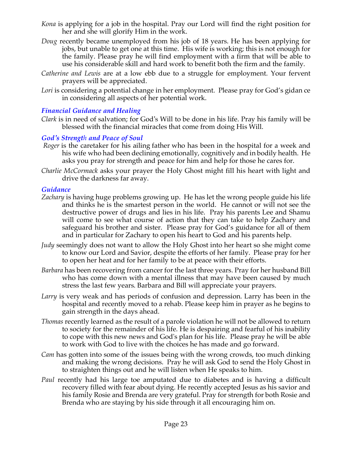- *Kona* is applying for a job in the hospital. Pray our Lord will find the right position for her and she will glorify Him in the work.
- *Doug* recently became unemployed from his job of 18 years. He has been applying for jobs, but unable to get one at this time. His wife is working; this is not enough for the family. Please pray he will find employment with a firm that will be able to use his considerable skill and hard work to benefit both the firm and the family.
- *Catherine and Lewis* are at a low ebb due to a struggle for employment. Your fervent prayers will be appreciated.
- Lori is considering a potential change in her employment. Please pray for God's gidan ce in considering all aspects of her potential work.

#### *Financial Guidance and Healing*

*Clark* is in need of salvation; for God's Will to be done in his life. Pray his family will be blessed with the financial miracles that come from doing His Will.

#### *God's Strength and Peace of Soul*

- *Roger* is the caretaker for his ailing father who has been in the hospital for a week and his wife who had been declining emotionally, cognitively and in bodily health. He asks you pray for strength and peace for him and help for those he cares for.
- *Charlie McCormack* asks your prayer the Holy Ghost might fill his heart with light and drive the darkness far away.

#### *Guidance*

- *Zachary* is having huge problems growing up. He has let the wrong people guide his life and thinks he is the smartest person in the world. He cannot or will not see the destructive power of drugs and lies in his life. Pray his parents Lee and Shamu will come to see what course of action that they can take to help Zachary and safeguard his brother and sister. Please pray for God's guidance for all of them and in particular for Zachary to open his heart to God and his parents help.
- *Judy* seemingly does not want to allow the Holy Ghost into her heart so she might come to know our Lord and Savior, despite the efforts of her family. Please pray for her to open her heat and for her family to be at peace with their efforts.
- *Barbara* has been recovering from cancer for the last three years. Pray for her husband Bill who has come down with a mental illness that may have been caused by much stress the last few years. Barbara and Bill will appreciate your prayers.
- *Larry* is very weak and has periods of confusion and depression. Larry has been in the hospital and recently moved to a rehab. Please keep him in prayer as he begins to gain strength in the days ahead.
- *Thomas* recently learned as the result of a parole violation he will not be allowed to return to society for the remainder of his life. He is despairing and fearful of his inability to cope with this new news and God's plan for his life. Please pray he will be able to work with God to live with the choices he has made and go forward.
- *Cam* has gotten into some of the issues being with the wrong crowds, too much dinking and making the wrong decisions. Pray he will ask God to send the Holy Ghost in to straighten things out and he will listen when He speaks to him.
- *Paul* recently had his large toe amputated due to diabetes and is having a difficult recovery filled with fear about dying. He recently accepted Jesus as his savior and his family Rosie and Brenda are very grateful. Pray for strength for both Rosie and Brenda who are staying by his side through it all encouraging him on.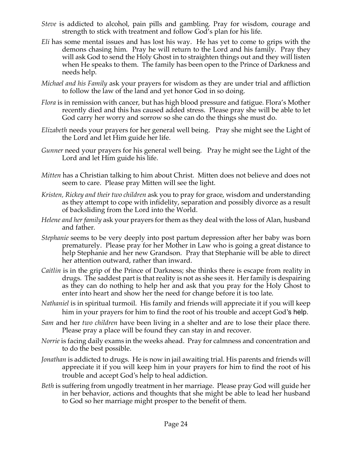- *Steve* is addicted to alcohol, pain pills and gambling. Pray for wisdom, courage and strength to stick with treatment and follow God's plan for his life.
- *Eli* has some mental issues and has lost his way. He has yet to come to grips with the demons chasing him. Pray he will return to the Lord and his family. Pray they will ask God to send the Holy Ghost in to straighten things out and they will listen when He speaks to them. The family has been open to the Prince of Darkness and needs help.
- *Michael and his Family* ask your prayers for wisdom as they are under trial and affliction to follow the law of the land and yet honor God in so doing.
- *Flora* is in remission with cancer, but has high blood pressure and fatigue. Flora's Mother recently died and this has caused added stress. Please pray she will be able to let God carry her worry and sorrow so she can do the things she must do.
- *Elizabeth* needs your prayers for her general well being. Pray she might see the Light of the Lord and let Him guide her life.
- *Gunner* need your prayers for his general well being. Pray he might see the Light of the Lord and let Him guide his life.
- *Mitten* has a Christian talking to him about Christ. Mitten does not believe and does not seem to care. Please pray Mitten will see the light.
- *Kristen, Rickey and their two children* ask you to pray for grace, wisdom and understanding as they attempt to cope with infidelity, separation and possibly divorce as a result of backsliding from the Lord into the World.
- *Helene and her family* ask your prayers for them as they deal with the loss of Alan, husband and father.
- *Stephanie* seems to be very deeply into post partum depression after her baby was born prematurely. Please pray for her Mother in Law who is going a great distance to help Stephanie and her new Grandson. Pray that Stephanie will be able to direct her attention outward, rather than inward.
- *Caitlin* is in the grip of the Prince of Darkness; she thinks there is escape from reality in drugs. The saddest part is that reality is not as she sees it. Her family is despairing as they can do nothing to help her and ask that you pray for the Holy Ghost to enter into heart and show her the need for change before it is too late.
- *Nathaniel* is in spiritual turmoil. His family and friends will appreciate it if you will keep him in your prayers for him to find the root of his trouble and accept God's help.
- *Sam* and her *two children* have been living in a shelter and are to lose their place there. Please pray a place will be found they can stay in and recover.
- *Norrie* is facing daily exams in the weeks ahead. Pray for calmness and concentration and to do the best possible.
- *Jonathan* is addicted to drugs. He is now in jail awaiting trial. His parents and friends will appreciate it if you will keep him in your prayers for him to find the root of his trouble and accept God's help to heal addiction.
- *Beth* is suffering from ungodly treatment in her marriage. Please pray God will guide her in her behavior, actions and thoughts that she might be able to lead her husband to God so her marriage might prosper to the benefit of them.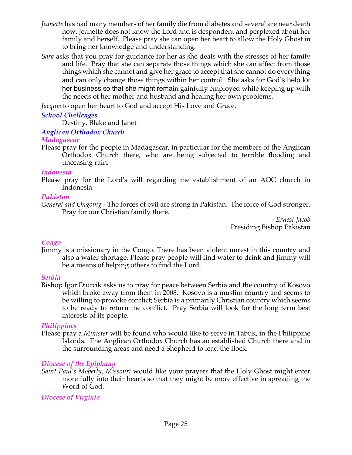- *Jeanette* has had many members of her family die from diabetes and several are near death now. Jeanette does not know the Lord and is despondent and perplexed about her family and herself. Please pray she can open her heart to allow the Holy Ghost in to bring her knowledge and understanding.
- *Sara* asks that you pray for guidance for her as she deals with the stresses of her family and life. Pray that she can separate those things which she can affect from those things which she cannot and give her grace to accept that she cannot do everything and can only change those things within her control. She asks for God's help for her business so that she might remain gainfully employed while keeping up with the needs of her mother and husband and healing her own problems.

*Jacquie* to open her heart to God and accept His Love and Grace.

## *School Challenges*

Destiny, Blake and Janet

## *Anglican Orthodox Church*

## *Madagascar*

Please pray for the people in Madagascar, in particular for the members of the Anglican Orthodox Church there, who are being subjected to terrible flooding and unceasing rain.

## *Indonesia*

Please pray for the Lord's will regarding the establishment of an AOC church in Indonesia.

#### *Pakistan*

*General and Ongoing -* The forces of evil are strong in Pakistan. The force of God stronger. Pray for our Christian family there.

*Ernest Jacob* Presiding Bishop Pakistan

## *Congo*

Jimmy is a missionary in the Congo. There has been violent unrest in this country and also a water shortage. Please pray people will find water to drink and Jimmy will be a means of helping others to find the Lord.

#### *Serbia*

Bishop Igor Djurcik asks us to pray for peace between Serbia and the country of Kosovo which broke away from them in 2008. Kosovo is a muslim country and seems to be willing to provoke conflict; Serbia is a primarily Christian country which seems to be ready to return the conflict. Pray Serbia will look for the long term best interests of its people.

## *Philippines*

Please pray a *Minister* will be found who would like to serve in Tabuk, in the Philippine Islands. The Anglican Orthodox Church has an established Church there and in the surrounding areas and need a Shepherd to lead the flock*.*

## *Diocese of the Epiphany*

*Saint Paul's Moberly, Missouri* would like your prayers that the Holy Ghost might enter more fully into their hearts so that they might be more effective in spreading the Word of God.

## *Diocese of Virginia*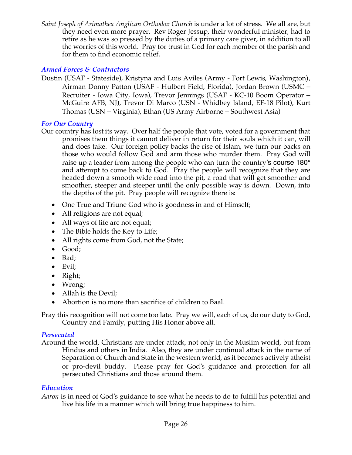*Saint Joseph of Arimathea Anglican Orthodox Church* is under a lot of stress. We all are, but they need even more prayer. Rev Roger Jessup, their wonderful minister, had to retire as he was so pressed by the duties of a primary care giver, in addition to all the worries of this world. Pray for trust in God for each member of the parish and for them to find economic relief.

## *Armed Forces & Contractors*

Dustin (USAF - Stateside), Kristyna and Luis Aviles (Army - Fort Lewis, Washington), Airman Donny Patton (USAF - Hulbert Field, Florida), Jordan Brown (USMC – Recruiter - Iowa City, Iowa), Trevor Jennings (USAF - KC-10 Boom Operator – McGuire AFB, NJ), Trevor Di Marco (USN - Whidbey Island, EF-18 Pilot), Kurt Thomas (USN – Virginia), Ethan (US Army Airborne – Southwest Asia)

## *For Our Country*

- Our country has lost its way. Over half the people that vote, voted for a government that promises them things it cannot deliver in return for their souls which it can, will and does take. Our foreign policy backs the rise of Islam, we turn our backs on those who would follow God and arm those who murder them. Pray God will raise up a leader from among the people who can turn the country's course 180° and attempt to come back to God. Pray the people will recognize that they are headed down a smooth wide road into the pit, a road that will get smoother and smoother, steeper and steeper until the only possible way is down. Down, into the depths of the pit. Pray people will recognize there is:
	- One True and Triune God who is goodness in and of Himself;
	- All religions are not equal;
	- All ways of life are not equal;
	- The Bible holds the Key to Life;
	- All rights come from God, not the State;
	- Good;
	- Bad;
	- Evil:
	- Right;
	- Wrong;
	- Allah is the Devil;
	- Abortion is no more than sacrifice of children to Baal.

Pray this recognition will not come too late. Pray we will, each of us, do our duty to God, Country and Family, putting His Honor above all.

## *Persecuted*

Around the world, Christians are under attack, not only in the Muslim world, but from Hindus and others in India. Also, they are under continual attack in the name of Separation of Church and State in the western world, as it becomes actively atheist or pro-devil buddy. Please pray for God's guidance and protection for all persecuted Christians and those around them.

## *Education*

*Aaron* is in need of God's guidance to see what he needs to do to fulfill his potential and live his life in a manner which will bring true happiness to him.